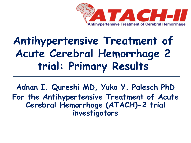

# **Antihypertensive Treatment of Acute Cerebral Hemorrhage 2 trial: Primary Results**

**Adnan I. Qureshi MD, Yuko Y. Palesch PhD For the Antihypertensive Treatment of Acute Cerebral Hemorrhage (ATACH)-2 trial investigators**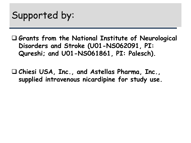

 **Grants from the National Institute of Neurological Disorders and Stroke (U01-NS062091, PI: Qureshi; and U01-NS061861, PI: Palesch).**

 **Chiesi USA, Inc., and Astellas Pharma, Inc., supplied intravenous nicardipine for study use.**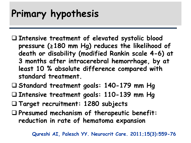# **Primary hypothesis**

- **Intensive treatment of elevated systolic blood pressure (≥180 mm Hg) reduces the likelihood of death or disability (modified Rankin scale 4-6) at 3 months after intracerebral hemorrhage, by at least 10 % absolute difference compared with standard treatment.**
- **Standard treatment goals: 140-179 mm Hg**
- **Intensive treatment goals: 110-139 mm Hg**
- **Target recruitment: 1280 subjects**
- **Presumed mechanism of therapeutic benefit: reduction in rate of hematoma expansion**

**Qureshi AI, Palesch YY. Neurocrit Care. 2011;15(3):559-76**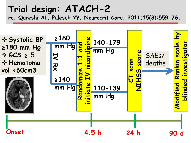#### **Trial design: ATACH-2 re. Qureshi AI, Palesch YY. Neurocrit Care. 2011;15(3):559-76.**

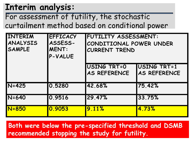### **Interim analysis:**

For assessment of futility, the stochastic curtailment method based on conditional power

| INTERIM<br>ANALYSIS<br><b>SAMPLE</b> | <b>EFFICACY</b><br>ASSESS-<br><b>MENT:</b><br>P-VALUE | <b>FUTILITY ASSESSMENT:</b><br>CONDITIONAL POWER UNDER<br><b>CURRENT TREND</b> |                             |  |
|--------------------------------------|-------------------------------------------------------|--------------------------------------------------------------------------------|-----------------------------|--|
|                                      |                                                       | USING TRT=0<br><b>AS REFERENCE</b>                                             | USING TRT=1<br>AS REFERENCE |  |
| $IN = 425$                           | 0.5280                                                | 42.68%                                                                         | 75.42%                      |  |
| $N = 640$                            | 0.9516                                                | 29.47%                                                                         | 33.75%                      |  |
| <b>N=850</b>                         | 0.9053                                                | 9.11%                                                                          | 4.73%                       |  |

**Both were below the pre-specified threshold and DSMB recommended stopping the study for futility.**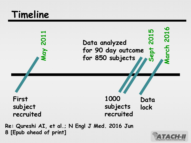# **Timeline**



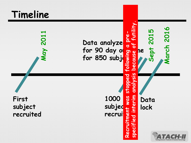# **Timeline**

**May 2011**



**First subject recruited** **1000**  subjec<sup>t</sup> **recrui a** 

**lock**

**Data**

**Sept 2015**

**March 2016**

March 2016

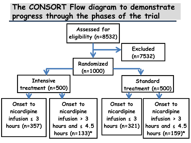#### **The CONSORT Flow diagram to demonstrate progress through the phases of the trial**

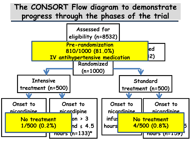#### **The CONSORT Flow diagram to demonstrate progress through the phases of the trial**

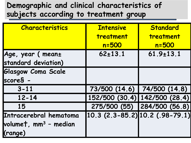### **Demographic and clinical characteristics of subjects according to treatment group**

| <b>Characteristics</b>            | <b>Intensive</b>                      | Standard                      |
|-----------------------------------|---------------------------------------|-------------------------------|
|                                   | treatment                             | treatment                     |
|                                   | $n = 500$                             | $n = 500$                     |
| Age, year ( mean±                 | $62 \pm 13.1$                         | $61.9 \pm 13.1$               |
| standard deviation)               |                                       |                               |
| <b>Glasgow Coma Scale</b>         |                                       |                               |
| score§ -                          |                                       |                               |
| $3 - 11$                          |                                       | 73/500 (14.6) 74/500 (14.8)   |
| $12 - 14$                         |                                       | 152/500 (30.4) 142/500 (28.4) |
| 15                                |                                       | 275/500 (55) 284/500 (56.8)   |
| Intracerebral hematoma            | $10.3$ $(2.3 - 85.2)$ 10.2 (.98-79.1) |                               |
| volume†, mm <sup>3</sup> - median |                                       |                               |
| (range)                           |                                       |                               |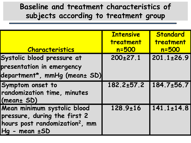#### **Baseline and treatment characteristics of subjects according to treatment group**

|                                            | <b>Intensive</b> | Standard         |
|--------------------------------------------|------------------|------------------|
|                                            | treatment        | treatment        |
| <b>Characteristics</b>                     | $n = 500$        | $n = 500$        |
| Systolic blood pressure at                 | $200 \pm 27.1$   | $201.1 \pm 26.9$ |
| presentation in emergency                  |                  |                  |
| department*, mmHg (mean± SD)               |                  |                  |
| Symptom onset to                           | $182.2 \pm 57.2$ | 184.7±56.7       |
| randomization time, minutes                |                  |                  |
| (mean± SD)                                 |                  |                  |
| Mean minimum systolic blood                | $128.9 \pm 16$   | $141.1 \pm 14.8$ |
| pressure, during the first 2               |                  |                  |
| hours post randomization <sup>2</sup> , mm |                  |                  |
| $Hq$ - mean $\pm$ SD                       |                  |                  |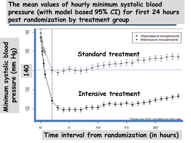**The mean values of hourly minimum systolic blood pressure (with model based 95% CI) for first 24 hours post randomization by treatment group**

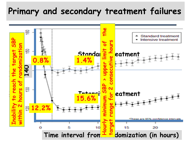### **Primary and secondary treatment failures**

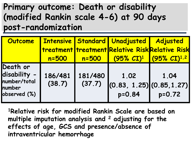### **Primary outcome: Death or disability (modified Rankin scale 4-6) at 90 days post-randomization**

| Outcome                                                            | <b>Intensive</b>  |                   | <b>Standard Unadjusted   Adjusted</b><br><b>  treatment   treatment Relative Risk Relative Risk</b> |                                               |
|--------------------------------------------------------------------|-------------------|-------------------|-----------------------------------------------------------------------------------------------------|-----------------------------------------------|
|                                                                    | $n = 500$         | $n = 500$         |                                                                                                     | $(95\% \text{ CI})^1$ (95% CI) <sup>1,2</sup> |
| Death or<br>disability -<br>number/total<br>number<br>observed (%) | 186/481<br>(38.7) | 181/480<br>(37.7) | 1.02<br>$\left  (0.83, 1.25) \right $ (0.85, 1.27)<br>$p = 0.84$                                    | 1.04<br>$p = 0.72$                            |

**1Relative risk for modified Rankin Scale are based on multiple imputation analysis and 2 adjusting for the effects of age, GCS and presence/absence of intraventricular hemorrhage**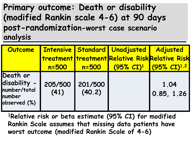**Primary outcome: Death or disability (modified Rankin scale 4-6) at 90 days post-randomization-worst case scenario analysis**

| Outcome                                                            |                 |                   | <b>Intensive   Standard   Unadjusted  </b>      | <b>Adjusted</b>           |
|--------------------------------------------------------------------|-----------------|-------------------|-------------------------------------------------|---------------------------|
|                                                                    |                 |                   | treatment treatment Relative Risk Relative Risk |                           |
|                                                                    | $n = 500$       | $n = 500$         | $(95\% \; C\Gamma)^1$                           | $(95\% \text{ CI})^{1.2}$ |
| Death or<br>disability -<br>number/total<br>number<br>observed (%) | 205/500<br>(41) | 201/500<br>(40.2) |                                                 | 1.04<br>0.85, 1.26        |

**1Relative risk or beta estimate (95% CI) for modified Rankin Scale assumes that missing data patients have worst outcome (modified Rankin Scale of 4-6)**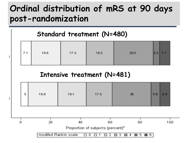### **Ordinal distribution of mRS at 90 days post-randomization**

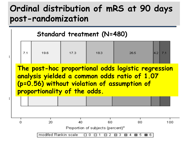### **Ordinal distribution of mRS at 90 days post-randomization**

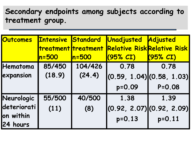### **Secondary endpoints among subjects according to treatment group.**

| <b>Outcomes</b> | <b>Intensive</b>    | Standard  | Unadjusted                         | Adjusted   |
|-----------------|---------------------|-----------|------------------------------------|------------|
|                 | treatment treatment |           | <b>Relative Risk Relative Risk</b> |            |
|                 | $n = 500$           | $\ln 500$ | (95% C I)                          | (95% C I)  |
| Hematoma        | 85/450              | 104/426   | 0.78                               | 0.78       |
| expansion       | (18.9)              | (24.4)    | $(0.59, 1.04)$ $(0.58, 1.03)$      |            |
|                 |                     |           | p=0.09                             | $P = 0.08$ |
| Neurologic      | 55/500              | 40/500    | 1.38                               | 1.39       |
| deteriorati     | (11)                | (8)       | $(0.92, 2.07)$ $(0.92, 2.09)$      |            |
| on within       |                     |           | $p = 0.13$                         | $p = 0.11$ |
| 24 hours        |                     |           |                                    |            |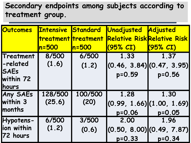#### **Secondary endpoints among subjects according to treatment group.**

| Outcomes                 | <b>Intensive Standard</b> | treatment treatment | Unadjusted<br><b>Relative Risk Relative Risk</b> | Adjusted      |
|--------------------------|---------------------------|---------------------|--------------------------------------------------|---------------|
|                          | $n = 500$                 | $ln = 500$          | (95% CI)                                         | $(95\%$ $CI)$ |
| Treatment                | 8/500                     | 6/500               | 1.33                                             | 1.37          |
| -related                 | (1.6)                     | (1.2)               | $\left[ (0.46, 3.84) \right]$ $(0.47, 3.95)$     |               |
| <b>SAEs</b><br>within 72 |                           |                     | $p = 0.59$                                       | $p = 0.56$    |
| <b>hours</b>             |                           |                     |                                                  |               |
| <b>Any SAEs</b>          | 128/500                   | 100/500             | 1.28                                             | 1.30          |
| within 3                 | (25.6)                    | (20)                | (0.99, 1.66) (1.00, 1.69)                        |               |
| <b>Imonths</b>           |                           |                     | $p = 0.06$                                       | $p = 0.05$    |
| Hypotens-                | 6/500                     | 3/500               | 2.00                                             | 1.96          |
| ion within               | (1.2)                     | (0.6)               | $(0.50, 8.00)$ $(0.49, 7.87)$                    |               |
| 72 hours                 |                           |                     | $p = 0.33$                                       | $p = 0.34$    |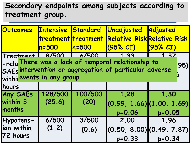#### **Secondary endpoints among subjects according to treatment group.**

| Outcomes                                           | <b>Intensive Standard</b> |                 | Unadjusted Adjusted<br>treatment treatment Relative Risk Relative Risk                                                        |                    |
|----------------------------------------------------|---------------------------|-----------------|-------------------------------------------------------------------------------------------------------------------------------|--------------------|
|                                                    | $n = 500$                 | $ln = 500$      | $(95\% \; C)$                                                                                                                 | $(95\%$ $CI)$      |
| Treatment R/500 6/500<br>withi events in any group |                           |                 | $\sqrt{1}$ 33<br>-rela There was a lack of temporal relationship to<br>SAEs intervention or aggregation of particular adverse | 137<br>95)         |
| <b>hours</b>                                       |                           |                 |                                                                                                                               |                    |
| <b>Any SAEs</b><br>within 3<br><b>months</b>       | 128/500<br>(25.6)         | 100/500<br>(20) | 1.28<br>$\left  (0.99, 1.66) \right  (1.00, 1.69)$<br>$p = 0.06$                                                              | 1.30<br>$p = 0.05$ |
| Hypotens-<br>ion within<br>72 hours                | 6/500<br>(1.2)            | 3/500<br>(0.6)  | 2.00<br>$(0.50, 8.00)$ $(0.49, 7.87)$<br>$p = 0.33$                                                                           | 1.96<br>$p = 0.34$ |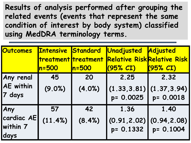**Results of analysis performed after grouping the related events (events that represent the same condition of interest by body system) classified using MedDRA terminology terms.**

| <b>Outcomes</b>                         | <b>Intensive Standard</b><br>treatment treatment<br>$n = 500$ | $ln = 500$   | Unadjusted<br><b>Relative Risk Relative Risk</b><br>(95% C I) | Adjusted<br>(95% C I)             |
|-----------------------------------------|---------------------------------------------------------------|--------------|---------------------------------------------------------------|-----------------------------------|
| Any renal<br><b>AE</b> within<br>7 days | 45<br>(9.0%)                                                  | 20<br>(4.0%) | 2.25<br>(1.33, 3.81)<br>p= 0.0025                             | 2.32<br>(1.37, 3.94)<br>p= 0.0018 |
| Any<br>cardiac AE<br>within 7<br>days   | 57<br>(11.4%)                                                 | 42<br>(8.4%) | 1.36<br>(0.91, 2.02)<br>p= 0.1332                             | 1.40<br>(0.94, 2.08)<br>p= 0.1004 |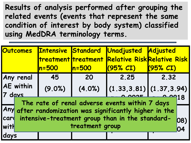**Results of analysis performed after grouping the related events (events that represent the same condition of interest by body system) classified using MedDRA terminology terms.**

|        | <b>Outcomes</b>                                      | <b>Intensive Standard</b> |            | Unadjusted Adjusted                                     |          |     |
|--------|------------------------------------------------------|---------------------------|------------|---------------------------------------------------------|----------|-----|
|        |                                                      |                           |            | treatment treatment Relative Risk Relative Risk         |          |     |
|        |                                                      | $n = 500$                 | $ln = 500$ | (95% CI)                                                | (95% CI) |     |
|        | Any renal                                            | 45                        | 20         | 2.25                                                    | 2.32     |     |
| 7 davs | <b>AE</b> within                                     | (9.0%)                    | (4.0%)     | $\left[ (1.33, 3.81) \right] (1.37, 3.94)$              |          |     |
|        |                                                      |                           |            | The rate of renal adverse events within 7 days          |          |     |
|        |                                                      |                           |            | Any after randomization was significantly higher in the |          |     |
|        | card intensive-treatment group than in the standard- |                           |            |                                                         |          | 08) |
| with   | treatment group                                      |                           |            |                                                         |          | 04  |
| days   |                                                      |                           |            |                                                         |          |     |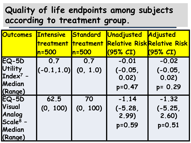### **Quality of life endpoints among subjects according to treatment group.**

| <b>Outcomes</b>      | <b>Intensive</b>    | Standard   | Unadjusted                         | Adjusted      |
|----------------------|---------------------|------------|------------------------------------|---------------|
|                      | treatment treatment |            | <b>Relative Risk Relative Risk</b> |               |
|                      | $n = 500$           | $ln = 500$ | $(95\%$ $CI)$                      | $(95\%$ $CI)$ |
| $EQ-5D$              | 0.7                 | 0.7        | $-0.01$                            | $-0.02$       |
| <b>Utility</b>       | $(-0.1, 1.0)$       | (0, 1.0)   | $(-0.05)$                          | $(-0.05)$     |
| Index $7 -$          |                     |            | 0.02)                              | 0.02)         |
| Median               |                     |            | $p = 0.47$                         | $p = 0.29$    |
| (Range)              |                     |            |                                    |               |
| $EQ-5D$              | 62.5                | 70         | $-1.14$                            | $-1.32$       |
| Visual               | (0, 100)            | (0, 100)   | $(-5.28,$                          | $(-5.25,$     |
| Analog               |                     |            | 2.99                               | 2.60)         |
| Scale <sup>8</sup> - |                     |            | $p = 0.59$                         | $p = 0.51$    |
| Median               |                     |            |                                    |               |
| (Range)              |                     |            |                                    |               |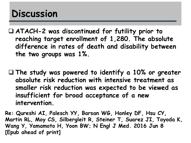# **Discussion**

- **ATACH-2 was discontinued for futility prior to reaching target enrollment of 1,280. The absolute difference in rates of death and disability between the two groups was 1%.**
- **The study was powered to identify a 10% or greater absolute risk reduction with intensive treatment as smaller risk reduction was expected to be viewed as insufficient for broad acceptance of a new intervention.**

**Re: Qureshi AI, Palesch YY, Barsan WG, Hanley DF, Hsu CY, Martin RL, Moy CS, Silbergleit R, Steiner T, Suarez JI, Toyoda K, Wang Y, Yamamoto H, Yoon BW; N Engl J Med. 2016 Jun 8 [Epub ahead of print]**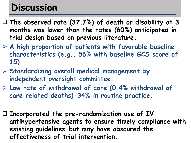# **Discussion**

- **The observed rate (37.7%) of death or disability at 3 months was lower than the rates (60%) anticipated in trial design based on previous literature.**
- **A high proportion of patients with favorable baseline characteristics (e.g., 56% with baseline GCS score of 15).**
- **Standardizing overall medical management by independent oversight committee.**
- **Low rate of withdrawal of care (0.4% withdrawal of care related deaths)-34% in routine practice.**
- **Incorporated the pre-randomization use of IV antihypertensive agents to ensure timely compliance with existing guidelines but may have obscured the effectiveness of trial intervention.**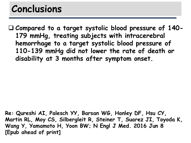# **Conclusions**

 **Compared to a target systolic blood pressure of 140- 179 mmHg, treating subjects with intracerebral hemorrhage to a target systolic blood pressure of 110-139 mmHg did not lower the rate of death or disability at 3 months after symptom onset.**

**Re: Qureshi AI, Palesch YY, Barsan WG, Hanley DF, Hsu CY, Martin RL, Moy CS, Silbergleit R, Steiner T, Suarez JI, Toyoda K, Wang Y, Yamamoto H, Yoon BW; N Engl J Med. 2016 Jun 8 [Epub ahead of print]**